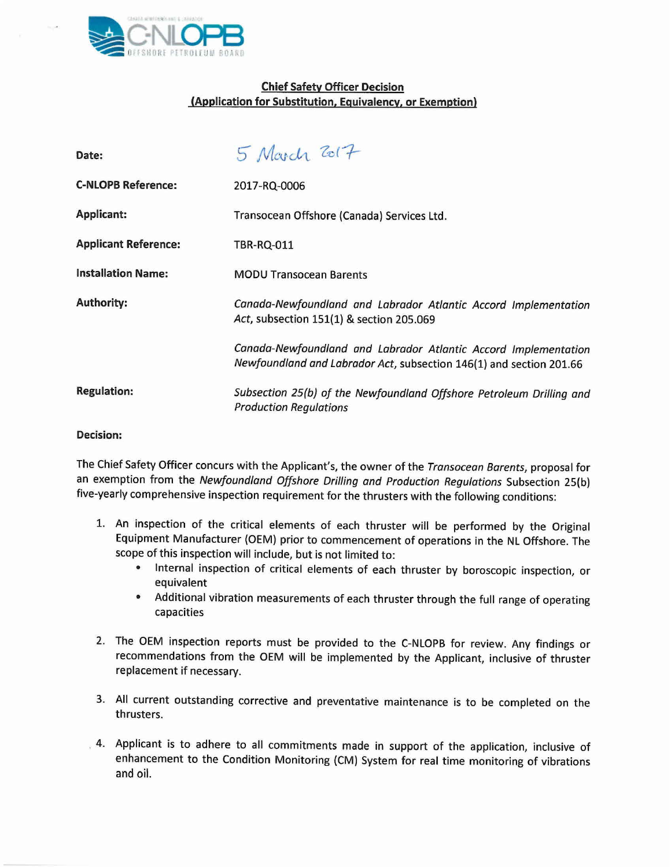

## Chief Safety Officer Decision (Application for Substitution, Equivalency, or Exemption)

| Date:                       | 5 March 2017                                                                                                                           |
|-----------------------------|----------------------------------------------------------------------------------------------------------------------------------------|
| <b>C-NLOPB Reference:</b>   | 2017-RQ-0006                                                                                                                           |
| <b>Applicant:</b>           | Transocean Offshore (Canada) Services Ltd.                                                                                             |
| <b>Applicant Reference:</b> | <b>TBR-RQ-011</b>                                                                                                                      |
| <b>Installation Name:</b>   | <b>MODU Transocean Barents</b>                                                                                                         |
| <b>Authority:</b>           | Canada-Newfoundland and Labrador Atlantic Accord Implementation<br>Act, subsection 151(1) & section 205.069                            |
|                             | Canada-Newfoundland and Labrador Atlantic Accord Implementation<br>Newfoundland and Labrador Act, subsection 146(1) and section 201.66 |
| <b>Regulation:</b>          | Subsection 25(b) of the Newfoundland Offshore Petroleum Drilling and<br><b>Production Regulations</b>                                  |

## Decision:

The Chief Safety Officer concurs with the Applicant's, the owner of the *Transocean Barents,* proposal for an exemption from the *Newfoundland Offshore Drilling and Production Regulations* Subsection 25{b) five-yearly comprehensive inspection requirement for the thrusters with the following conditions:

- 1. An inspection of the critical elements of each thruster will be performed by the Original Equipment Manufacturer (OEM) prior to commencement of operations in the NL Offshore. The scope of this inspection will include, but is not limited to:
	- Internal inspection of critical elements of each thruster by boroscopic inspection, or equivalent
	- Additional vibration measurements of each thruster through the full range of operating capacities
- 2. The OEM inspection reports must be provided to the C-NLOPB for review. Any findings or recommendations from the OEM will be implemented by the Applicant, inclusive of thruster replacement if necessary.
- 3. All current outstanding corrective and preventative maintenance is to be completed on the thrusters.
- . 4. Applicant is to adhere to all commitments made in support of the application, inclusive of enhancement to the Condition Monitoring (CM) System for real time monitoring of vibrations and oil.